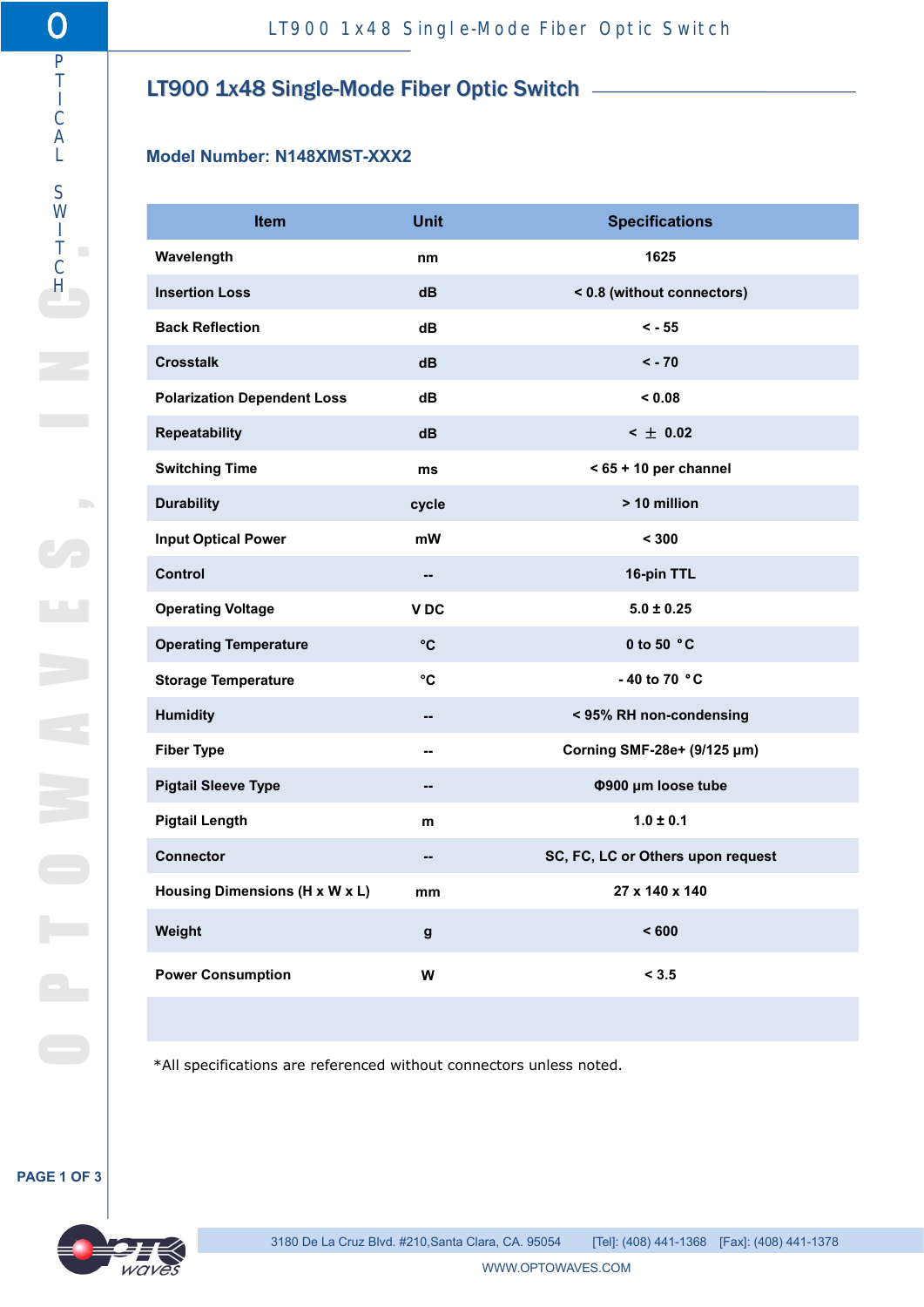# $\frac{1}{1}$  LT900 1x48 Single-Mode Fiber Optic Switch  $\frac{1}{1}$

# L **Model Number: N148XMST-XXX2**

|                                                                     |                               | LT900 1x48 Single-Mode Fiber Optic Switch |
|---------------------------------------------------------------------|-------------------------------|-------------------------------------------|
|                                                                     |                               |                                           |
| LT900 1x48 Single-Mode Fiber Optic Switch -                         |                               |                                           |
|                                                                     |                               |                                           |
| Model Number: N148XMST-XXX2                                         |                               |                                           |
| Item                                                                | <b>Unit</b>                   |                                           |
| Wavelength                                                          | nm                            | <b>Specifications</b><br>1625             |
| <b>Insertion Loss</b>                                               | $\mathsf{dB}$                 | < 0.8 (without connectors)                |
| <b>Back Reflection</b>                                              | dB                            | $< -55$                                   |
| <b>Crosstalk</b>                                                    | dB                            | $< -70$                                   |
| <b>Polarization Dependent Loss</b>                                  | dB                            | < 0.08                                    |
|                                                                     |                               |                                           |
|                                                                     |                               |                                           |
| Repeatability<br><b>Switching Time</b>                              | $\mathsf{dB}$<br>ms           | $<$ $\pm$ 0.02<br>$< 65 + 10$ per channel |
|                                                                     | cycle                         | > 10 million                              |
| <b>Durability</b><br><b>Input Optical Power</b>                     | $\mathsf{m}\mathsf{W}$        | < 300                                     |
| Control                                                             | $\overline{\phantom{a}}$      | 16-pin TTL                                |
| <b>Operating Voltage</b>                                            | V DC                          | $5.0 \pm 0.25$                            |
| <b>Operating Temperature</b>                                        | $^{\circ}{\rm C}$             | 0 to 50 $^{\circ}$ C                      |
| <b>Storage Temperature</b>                                          | $^\circ{\rm C}$               | - 40 to 70 $^{\circ}$ C                   |
| <b>Humidity</b>                                                     | $\overline{\phantom{a}}$      | < 95% RH non-condensing                   |
| <b>Fiber Type</b>                                                   | --                            | Corning SMF-28e+ (9/125 µm)               |
| <b>Pigtail Sleeve Type</b>                                          | --                            | Φ900 μm loose tube                        |
| <b>Pigtail Length</b>                                               | ${\bf m}$                     | $1.0 \pm 0.1$                             |
| Connector                                                           | $\overline{\phantom{a}}$      | SC, FC, LC or Others upon request         |
| Housing Dimensions (H x W x L)                                      | $\mathop{\text{mm}}\nolimits$ | 27 x 140 x 140                            |
| Weight                                                              | $\boldsymbol{\mathsf{g}}$     | < 600                                     |
| <b>Power Consumption</b>                                            | $\boldsymbol{\mathsf{W}}$     | < 3.5                                     |
|                                                                     |                               |                                           |
| *All specifications are referenced without connectors unless noted. |                               |                                           |

#### **PAGE 1 OF 3**

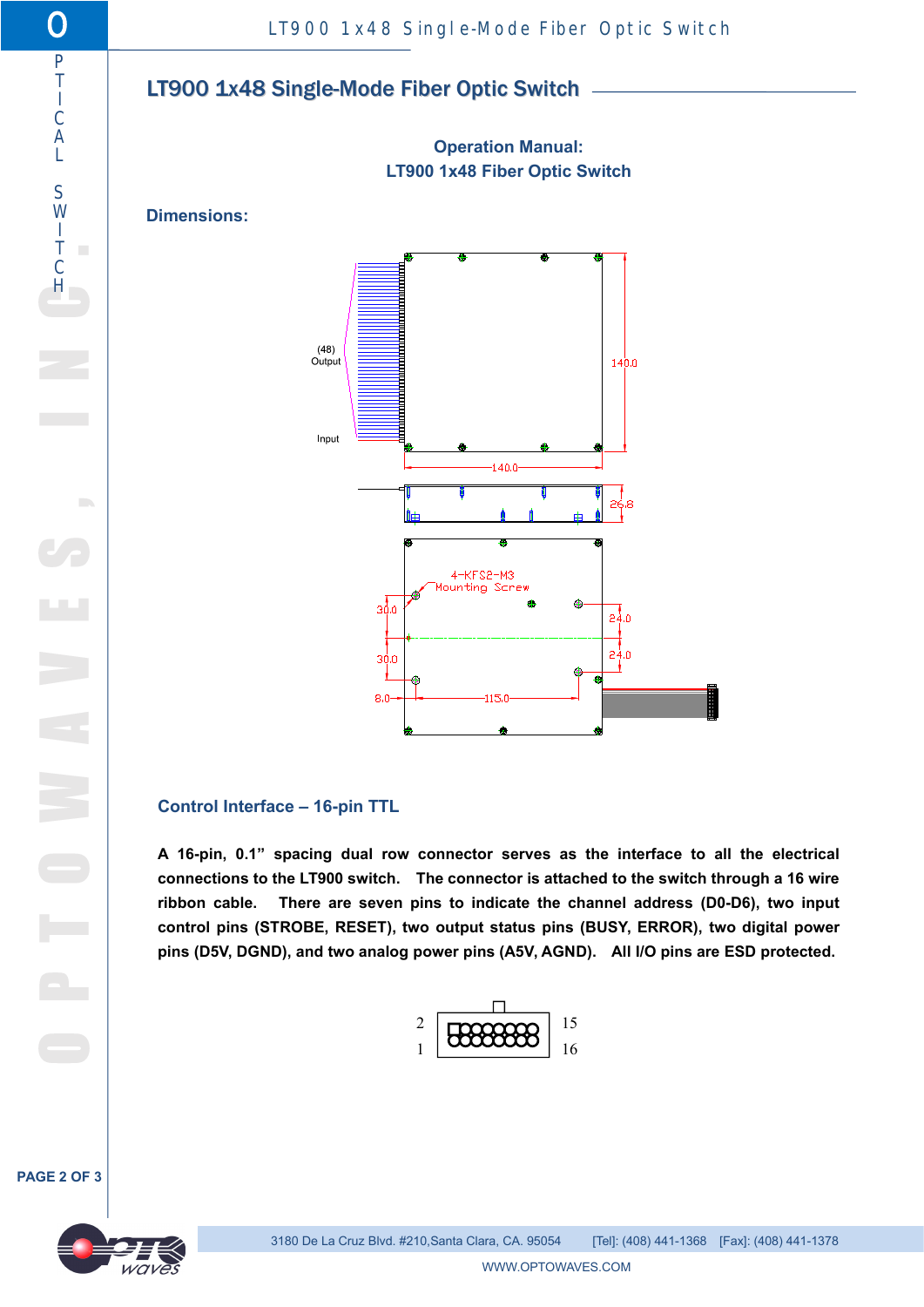## $\overline{1}$  | TQ00 1x48 Si I LT900 1x48 Single-Mode Fiber Optic Switch

**Operation Manual: LT900 1x48 Fiber Optic Switch**



# **Control Interface – 16-pin TTL**

**A 16-pin, 0.1" spacing dual row connector serves as the interface to all the electrical connections to the LT900 switch. The connector is attached to the switch through a 16 wire ribbon cable. There are seven pins to indicate the channel address (D0-D6), two input control pins (STROBE, RESET), two output status pins (BUSY, ERROR), two digital power pins (D5V, DGND), and two analog power pins (A5V, AGND). All I/O pins are ESD protected.**



**PAGE 2 OF 3**